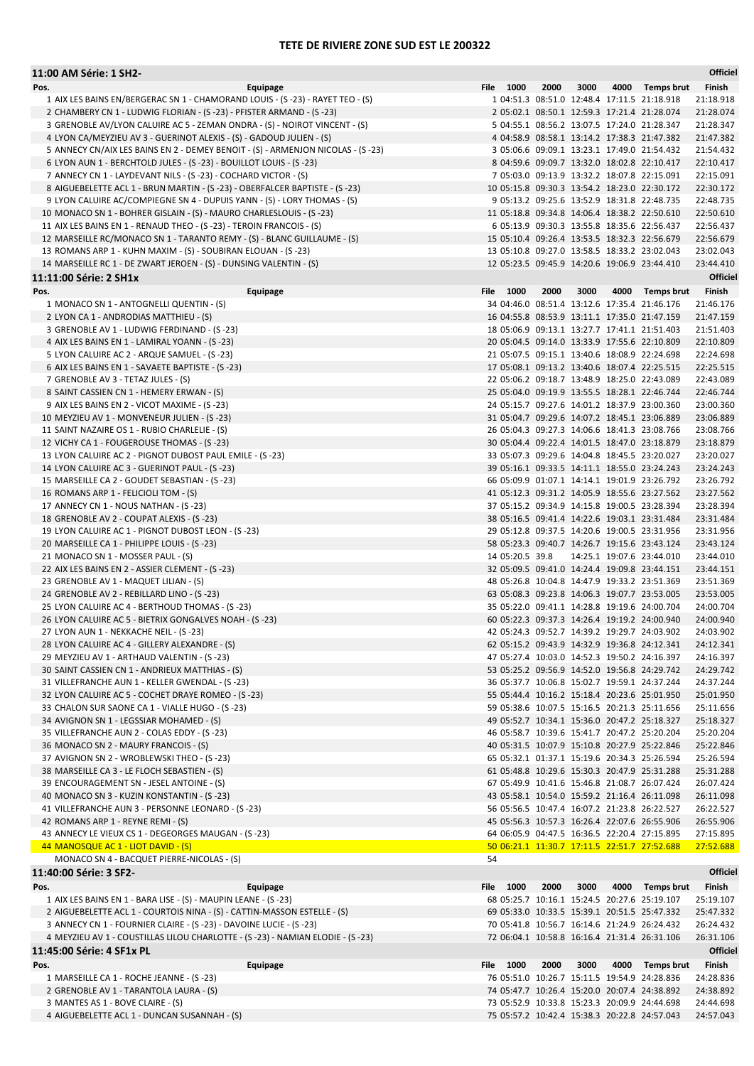## TETE DE RIVIERE ZONE SUD EST LE 200322

| 11:00 AM Série: 1 SH2-                                                                                                                                 |                                                                                              |      |      |      |                                                                                            | Officiel               |
|--------------------------------------------------------------------------------------------------------------------------------------------------------|----------------------------------------------------------------------------------------------|------|------|------|--------------------------------------------------------------------------------------------|------------------------|
| Pos.<br>Equipage                                                                                                                                       | File 1000                                                                                    | 2000 | 3000 |      | 4000 Temps brut                                                                            | Finish                 |
| 1 AIX LES BAINS EN/BERGERAC SN 1 - CHAMORAND LOUIS - (S -23) - RAYET TEO - (S)                                                                         |                                                                                              |      |      |      | 1 04:51.3 08:51.0 12:48.4 17:11.5 21:18.918                                                | 21:18.918              |
| 2 CHAMBERY CN 1 - LUDWIG FLORIAN - (S -23) - PFISTER ARMAND - (S -23)<br>3 GRENOBLE AV/LYON CALUIRE AC 5 - ZEMAN ONDRA - (S) - NOIROT VINCENT - (S)    |                                                                                              |      |      |      | 2 05:02.1 08:50.1 12:59.3 17:21.4 21:28.074<br>5 04:55.1 08:56.2 13:07.5 17:24.0 21:28.347 | 21:28.074<br>21:28.347 |
| 4 LYON CA/MEYZIEU AV 3 - GUERINOT ALEXIS - (S) - GADOUD JULIEN - (S)                                                                                   |                                                                                              |      |      |      | 4 04:58.9 08:58.1 13:14.2 17:38.3 21:47.382                                                | 21:47.382              |
| 5 ANNECY CN/AIX LES BAINS EN 2 - DEMEY BENOIT - (S) - ARMENJON NICOLAS - (S -23)                                                                       |                                                                                              |      |      |      | 3 05:06.6 09:09.1 13:23.1 17:49.0 21:54.432                                                | 21:54.432              |
| 6 LYON AUN 1 - BERCHTOLD JULES - (S -23) - BOUILLOT LOUIS - (S -23)                                                                                    |                                                                                              |      |      |      | 8 04:59.6 09:09.7 13:32.0 18:02.8 22:10.417                                                | 22:10.417              |
| 7 ANNECY CN 1 - LAYDEVANT NILS - (S -23) - COCHARD VICTOR - (S)                                                                                        |                                                                                              |      |      |      | 7 05:03.0 09:13.9 13:32.2 18:07.8 22:15.091                                                | 22:15.091              |
| 8 AIGUEBELETTE ACL 1 - BRUN MARTIN - (S -23) - OBERFALCER BAPTISTE - (S -23)                                                                           | 10 05:15.8 09:30.3 13:54.2 18:23.0 22:30.172                                                 |      |      |      |                                                                                            | 22:30.172              |
| 9 LYON CALUIRE AC/COMPIEGNE SN 4 - DUPUIS YANN - (S) - LORY THOMAS - (S)<br>10 MONACO SN 1 - BOHRER GISLAIN - (S) - MAURO CHARLESLOUIS - (S -23)       | 11 05:18.8 09:34.8 14:06.4 18:38.2 22:50.610                                                 |      |      |      | 9 05:13.2 09:25.6 13:52.9 18:31.8 22:48.735                                                | 22:48.735<br>22:50.610 |
| 11 AIX LES BAINS EN 1 - RENAUD THEO - (S -23) - TEROIN FRANCOIS - (S)                                                                                  |                                                                                              |      |      |      | 6 05:13.9 09:30.3 13:55.8 18:35.6 22:56.437                                                | 22:56.437              |
| 12 MARSEILLE RC/MONACO SN 1 - TARANTO REMY - (S) - BLANC GUILLAUME - (S)                                                                               | 15 05:10.4 09:26.4 13:53.5 18:32.3 22:56.679                                                 |      |      |      |                                                                                            | 22:56.679              |
| 13 ROMANS ARP 1 - KUHN MAXIM - (S) - SOUBIRAN ELOUAN - (S -23)                                                                                         | 13 05:10.8 09:27.0 13:58.5 18:33.2 23:02.043                                                 |      |      |      |                                                                                            | 23:02.043              |
| 14 MARSEILLE RC 1 - DE ZWART JEROEN - (S) - DUNSING VALENTIN - (S)                                                                                     | 12 05:23.5 09:45.9 14:20.6 19:06.9 23:44.410                                                 |      |      |      |                                                                                            | 23:44.410              |
| 11:11:00 Série: 2 SH1x                                                                                                                                 |                                                                                              |      |      |      |                                                                                            | Officiel               |
| Pos.<br>Equipage                                                                                                                                       | File 1000                                                                                    | 2000 | 3000 |      | 4000 Temps brut                                                                            | Finish                 |
| 1 MONACO SN 1 - ANTOGNELLI QUENTIN - (S)                                                                                                               | 34 04:46.0 08:51.4 13:12.6 17:35.4 21:46.176                                                 |      |      |      |                                                                                            | 21:46.176              |
| 2 LYON CA 1 - ANDRODIAS MATTHIEU - (S)                                                                                                                 | 16 04:55.8 08:53.9 13:11.1 17:35.0 21:47.159<br>18 05:06.9 09:13.1 13:27.7 17:41.1 21:51.403 |      |      |      |                                                                                            | 21:47.159<br>21:51.403 |
| 3 GRENOBLE AV 1 - LUDWIG FERDINAND - (S-23)<br>4 AIX LES BAINS EN 1 - LAMIRAL YOANN - (S-23)                                                           | 20 05:04.5 09:14.0 13:33.9 17:55.6 22:10.809                                                 |      |      |      |                                                                                            | 22:10.809              |
| 5 LYON CALUIRE AC 2 - ARQUE SAMUEL - (S-23)                                                                                                            | 21 05:07.5 09:15.1 13:40.6 18:08.9 22:24.698                                                 |      |      |      |                                                                                            | 22:24.698              |
| 6 AIX LES BAINS EN 1 - SAVAETE BAPTISTE - (S-23)                                                                                                       | 17 05:08.1 09:13.2 13:40.6 18:07.4 22:25.515                                                 |      |      |      |                                                                                            | 22:25.515              |
| 7 GRENOBLE AV 3 - TETAZ JULES - (S)                                                                                                                    | 22 05:06.2 09:18.7 13:48.9 18:25.0 22:43.089                                                 |      |      |      |                                                                                            | 22:43.089              |
| 8 SAINT CASSIEN CN 1 - HEMERY ERWAN - (S)                                                                                                              | 25 05:04.0 09:19.9 13:55.5 18:28.1 22:46.744                                                 |      |      |      |                                                                                            | 22:46.744              |
| 9 AIX LES BAINS EN 2 - VICOT MAXIME - (S-23)                                                                                                           | 24 05:15.7 09:27.6 14:01.2 18:37.9 23:00.360                                                 |      |      |      |                                                                                            | 23:00.360              |
| 10 MEYZIEU AV 1 - MONVENEUR JULIEN - (S-23)<br>11 SAINT NAZAIRE OS 1 - RUBIO CHARLELIE - (S)                                                           | 31 05:04.7 09:29.6 14:07.2 18:45.1 23:06.889<br>26 05:04.3 09:27.3 14:06.6 18:41.3 23:08.766 |      |      |      |                                                                                            | 23:06.889<br>23:08.766 |
| 12 VICHY CA 1 - FOUGEROUSE THOMAS - (S-23)                                                                                                             | 30 05:04.4 09:22.4 14:01.5 18:47.0 23:18.879                                                 |      |      |      |                                                                                            | 23:18.879              |
| 13 LYON CALUIRE AC 2 - PIGNOT DUBOST PAUL EMILE - (S-23)                                                                                               | 33 05:07.3 09:29.6 14:04.8 18:45.5 23:20.027                                                 |      |      |      |                                                                                            | 23:20.027              |
| 14 LYON CALUIRE AC 3 - GUERINOT PAUL - (S-23)                                                                                                          | 39 05:16.1 09:33.5 14:11.1 18:55.0 23:24.243                                                 |      |      |      |                                                                                            | 23:24.243              |
| 15 MARSEILLE CA 2 - GOUDET SEBASTIAN - (S-23)                                                                                                          | 66 05:09.9 01:07.1 14:14.1 19:01.9 23:26.792                                                 |      |      |      |                                                                                            | 23:26.792              |
| 16 ROMANS ARP 1 - FELICIOLI TOM - (S)                                                                                                                  | 41 05:12.3 09:31.2 14:05.9 18:55.6 23:27.562                                                 |      |      |      |                                                                                            | 23:27.562              |
| 17 ANNECY CN 1 - NOUS NATHAN - (S-23)                                                                                                                  | 37 05:15.2 09:34.9 14:15.8 19:00.5 23:28.394                                                 |      |      |      |                                                                                            | 23:28.394              |
| 18 GRENOBLE AV 2 - COUPAT ALEXIS - (S-23)<br>19 LYON CALUIRE AC 1 - PIGNOT DUBOST LEON - (S-23)                                                        | 38 05:16.5 09:41.4 14:22.6 19:03.1 23:31.484<br>29 05:12.8 09:37.5 14:20.6 19:00.5 23:31.956 |      |      |      |                                                                                            | 23:31.484<br>23:31.956 |
| 20 MARSEILLE CA 1 - PHILIPPE LOUIS - (S-23)                                                                                                            | 58 05:23.3 09:40.7 14:26.7 19:15.6 23:43.124                                                 |      |      |      |                                                                                            | 23:43.124              |
| 21 MONACO SN 1 - MOSSER PAUL - (S)                                                                                                                     | 14 05:20.5 39.8                                                                              |      |      |      | 14:25.1 19:07.6 23:44.010                                                                  | 23:44.010              |
| 22 AIX LES BAINS EN 2 - ASSIER CLEMENT - (S-23)                                                                                                        | 32 05:09.5 09:41.0 14:24.4 19:09.8 23:44.151                                                 |      |      |      |                                                                                            | 23:44.151              |
| 23 GRENOBLE AV 1 - MAQUET LILIAN - (S)                                                                                                                 | 48 05:26.8 10:04.8 14:47.9 19:33.2 23:51.369                                                 |      |      |      |                                                                                            | 23:51.369              |
| 24 GRENOBLE AV 2 - REBILLARD LINO - (S-23)                                                                                                             | 63 05:08.3 09:23.8 14:06.3 19:07.7 23:53.005                                                 |      |      |      |                                                                                            | 23:53.005              |
| 25 LYON CALUIRE AC 4 - BERTHOUD THOMAS - (S-23)                                                                                                        | 35 05:22.0 09:41.1 14:28.8 19:19.6 24:00.704                                                 |      |      |      |                                                                                            | 24:00.704              |
| 26 LYON CALUIRE AC 5 - BIETRIX GONGALVES NOAH - (S-23)<br>27 LYON AUN 1 - NEKKACHE NEIL - (S-23)                                                       | 60 05:22.3 09:37.3 14:26.4 19:19.2 24:00.940<br>42 05:24.3 09:52.7 14:39.2 19:29.7 24:03.902 |      |      |      |                                                                                            | 24:00.940<br>24:03.902 |
| 28 LYON CALUIRE AC 4 - GILLERY ALEXANDRE - (S)                                                                                                         | 62 05:15.2 09:43.9 14:32.9 19:36.8 24:12.341                                                 |      |      |      |                                                                                            | 24:12.341              |
| 29 MEYZIEU AV 1 - ARTHAUD VALENTIN - (S-23)                                                                                                            | 47 05:27.4 10:03.0 14:52.3 19:50.2 24:16.397                                                 |      |      |      |                                                                                            | 24:16.397              |
| 30 SAINT CASSIEN CN 1 - ANDRIEUX MATTHIAS - (S)                                                                                                        | 53 05:25.2 09:56.9 14:52.0 19:56.8 24:29.742                                                 |      |      |      |                                                                                            | 24:29.742              |
| 31 VILLEFRANCHE AUN 1 - KELLER GWENDAL - (S-23)                                                                                                        | 36 05:37.7 10:06.8 15:02.7 19:59.1 24:37.244                                                 |      |      |      |                                                                                            | 24:37.244              |
| 32 LYON CALUIRE AC 5 - COCHET DRAYE ROMEO - (S-23)                                                                                                     | 55 05:44.4 10:16.2 15:18.4 20:23.6 25:01.950                                                 |      |      |      |                                                                                            | 25:01.950              |
| 33 CHALON SUR SAONE CA 1 - VIALLE HUGO - (S-23)<br>34 AVIGNON SN 1 - LEGSSIAR MOHAMED - (S)                                                            | 59 05:38.6 10:07.5 15:16.5 20:21.3 25:11.656<br>49 05:52.7 10:34.1 15:36.0 20:47.2 25:18.327 |      |      |      |                                                                                            | 25:11.656<br>25:18.327 |
| 35 VILLEFRANCHE AUN 2 - COLAS EDDY - (S-23)                                                                                                            | 46 05:58.7 10:39.6 15:41.7 20:47.2 25:20.204                                                 |      |      |      |                                                                                            | 25:20.204              |
| 36 MONACO SN 2 - MAURY FRANCOIS - (S)                                                                                                                  | 40 05:31.5 10:07.9 15:10.8 20:27.9 25:22.846                                                 |      |      |      |                                                                                            | 25:22.846              |
| 37 AVIGNON SN 2 - WROBLEWSKI THEO - (S-23)                                                                                                             | 65 05:32.1 01:37.1 15:19.6 20:34.3 25:26.594                                                 |      |      |      |                                                                                            | 25:26.594              |
| 38 MARSEILLE CA 3 - LE FLOCH SEBASTIEN - (S)                                                                                                           | 61 05:48.8 10:29.6 15:30.3 20:47.9 25:31.288                                                 |      |      |      |                                                                                            | 25:31.288              |
| 39 ENCOURAGEMENT SN - JESEL ANTOINE - (S)                                                                                                              | 67 05:49.9 10:41.6 15:46.8 21:08.7 26:07.424                                                 |      |      |      |                                                                                            | 26:07.424              |
| 40 MONACO SN 3 - KUZIN KONSTANTIN - (S-23)                                                                                                             | 43 05:58.1 10:54.0 15:59.2 21:16.4 26:11.098                                                 |      |      |      |                                                                                            | 26:11.098              |
| 41 VILLEFRANCHE AUN 3 - PERSONNE LEONARD - (S-23)<br>42 ROMANS ARP 1 - REYNE REMI - (S)                                                                | 56 05:56.5 10:47.4 16:07.2 21:23.8 26:22.527<br>45 05:56.3 10:57.3 16:26.4 22:07.6 26:55.906 |      |      |      |                                                                                            | 26:22.527<br>26:55.906 |
| 43 ANNECY LE VIEUX CS 1 - DEGEORGES MAUGAN - (S-23)                                                                                                    | 64 06:05.9 04:47.5 16:36.5 22:20.4 27:15.895                                                 |      |      |      |                                                                                            | 27:15.895              |
| 44 MANOSQUE AC 1 - LIOT DAVID - (S)                                                                                                                    | 50 06:21.1 11:30.7 17:11.5 22:51.7 27:52.688                                                 |      |      |      |                                                                                            | 27:52.688              |
| MONACO SN 4 - BACQUET PIERRE-NICOLAS - (S)                                                                                                             | 54                                                                                           |      |      |      |                                                                                            |                        |
| 11:40:00 Série: 3 SF2-                                                                                                                                 |                                                                                              |      |      |      |                                                                                            | Officiel               |
| Pos.<br>Equipage                                                                                                                                       | File 1000                                                                                    | 2000 | 3000 | 4000 | Temps brut                                                                                 | Finish                 |
| 1 AIX LES BAINS EN 1 - BARA LISE - (S) - MAUPIN LEANE - (S -23)                                                                                        | 68 05:25.7 10:16.1 15:24.5 20:27.6 25:19.107                                                 |      |      |      |                                                                                            | 25:19.107              |
| 2 AIGUEBELETTE ACL 1 - COURTOIS NINA - (S) - CATTIN-MASSON ESTELLE - (S)                                                                               | 69 05:33.0 10:33.5 15:39.1 20:51.5 25:47.332                                                 |      |      |      |                                                                                            | 25:47.332              |
| 3 ANNECY CN 1 - FOURNIER CLAIRE - (S -23) - DAVOINE LUCIE - (S -23)<br>4 MEYZIEU AV 1 - COUSTILLAS LILOU CHARLOTTE - (S -23) - NAMIAN ELODIE - (S -23) | 70 05:41.8 10:56.7 16:14.6 21:24.9 26:24.432<br>72 06:04.1 10:58.8 16:16.4 21:31.4 26:31.106 |      |      |      |                                                                                            | 26:24.432<br>26:31.106 |
| 11:45:00 Série: 4 SF1x PL                                                                                                                              |                                                                                              |      |      |      |                                                                                            | Officiel               |
| Pos.<br>Equipage                                                                                                                                       | File 1000                                                                                    | 2000 | 3000 |      | 4000 Temps brut                                                                            | Finish                 |
| 1 MARSEILLE CA 1 - ROCHE JEANNE - (S-23)                                                                                                               | 76 05:51.0 10:26.7 15:11.5 19:54.9 24:28.836                                                 |      |      |      |                                                                                            | 24:28.836              |
| 2 GRENOBLE AV 1 - TARANTOLA LAURA - (S)                                                                                                                | 74 05:47.7 10:26.4 15:20.0 20:07.4 24:38.892                                                 |      |      |      |                                                                                            | 24:38.892              |
| 3 MANTES AS 1 - BOVE CLAIRE - (S)                                                                                                                      | 73 05:52.9 10:33.8 15:23.3 20:09.9 24:44.698                                                 |      |      |      |                                                                                            | 24:44.698              |
| 4 AIGUEBELETTE ACL 1 - DUNCAN SUSANNAH - (S)                                                                                                           | 75 05:57.2 10:42.4 15:38.3 20:22.8 24:57.043                                                 |      |      |      |                                                                                            | 24:57.043              |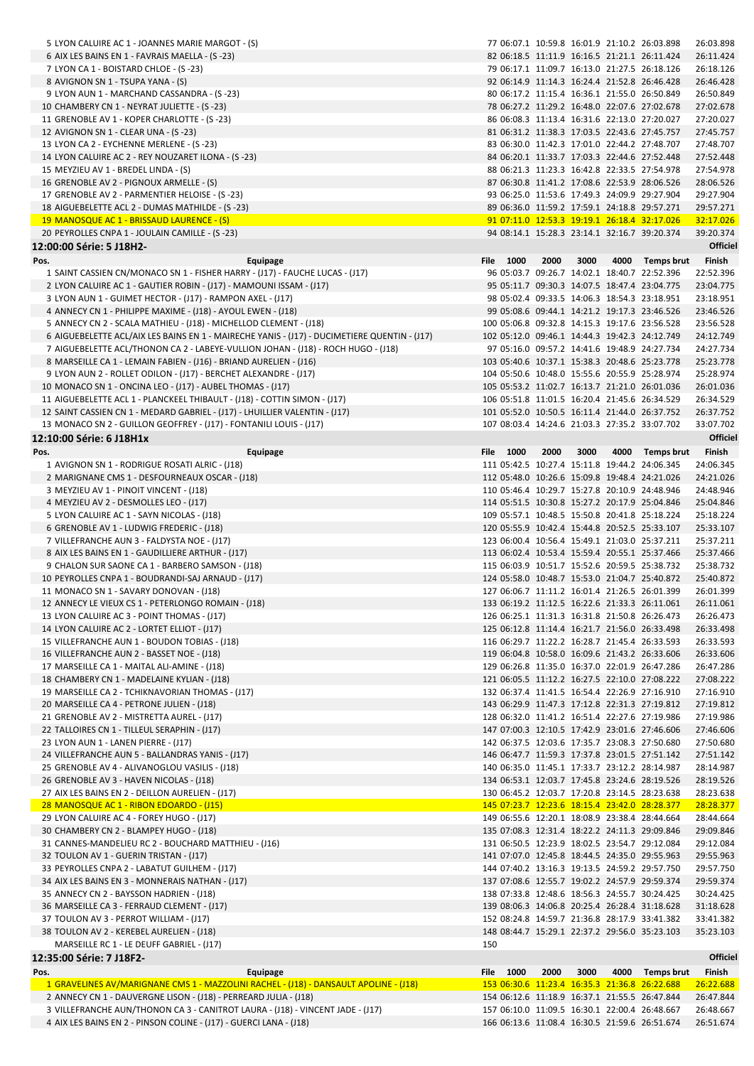|      | 5 LYON CALUIRE AC 1 - JOANNES MARIE MARGOT - (S)                                                                                       | 77 06:07.1 10:59.8 16:01.9 21:10.2 26:03.898                                                   |      |      |                 | 26:03.898              |
|------|----------------------------------------------------------------------------------------------------------------------------------------|------------------------------------------------------------------------------------------------|------|------|-----------------|------------------------|
|      | 6 AIX LES BAINS EN 1 - FAVRAIS MAELLA - (S-23)                                                                                         | 82 06:18.5 11:11.9 16:16.5 21:21.1 26:11.424                                                   |      |      |                 | 26:11.424              |
|      | 7 LYON CA 1 - BOISTARD CHLOE - (S-23)                                                                                                  | 79 06:17.1 11:09.7 16:13.0 21:27.5 26:18.126<br>92 06:14.9 11:14.3 16:24.4 21:52.8 26:46.428   |      |      |                 | 26:18.126              |
|      | 8 AVIGNON SN 1 - TSUPA YANA - (S)<br>9 LYON AUN 1 - MARCHAND CASSANDRA - (S-23)                                                        | 80 06:17.2 11:15.4 16:36.1 21:55.0 26:50.849                                                   |      |      |                 | 26:46.428<br>26:50.849 |
|      | 10 CHAMBERY CN 1 - NEYRAT JULIETTE - (S-23)                                                                                            | 78 06:27.2 11:29.2 16:48.0 22:07.6 27:02.678                                                   |      |      |                 | 27:02.678              |
|      | 11 GRENOBLE AV 1 - KOPER CHARLOTTE - (S-23)                                                                                            | 86 06:08.3 11:13.4 16:31.6 22:13.0 27:20.027                                                   |      |      |                 | 27:20.027              |
|      | 12 AVIGNON SN 1 - CLEAR UNA - (S-23)                                                                                                   | 81 06:31.2 11:38.3 17:03.5 22:43.6 27:45.757                                                   |      |      |                 | 27:45.757              |
|      | 13 LYON CA 2 - EYCHENNE MERLENE - (S-23)                                                                                               | 83 06:30.0 11:42.3 17:01.0 22:44.2 27:48.707                                                   |      |      |                 | 27:48.707              |
|      | 14 LYON CALUIRE AC 2 - REY NOUZARET ILONA - (S-23)                                                                                     | 84 06:20.1 11:33.7 17:03.3 22:44.6 27:52.448                                                   |      |      |                 | 27:52.448              |
|      | 15 MEYZIEU AV 1 - BREDEL LINDA - (S)                                                                                                   | 88 06:21.3 11:23.3 16:42.8 22:33.5 27:54.978                                                   |      |      |                 | 27:54.978              |
|      | 16 GRENOBLE AV 2 - PIGNOUX ARMELLE - (S)                                                                                               | 87 06:30.8 11:41.2 17:08.6 22:53.9 28:06.526                                                   |      |      |                 | 28:06.526              |
|      | 17 GRENOBLE AV 2 - PARMENTIER HELOISE - (S-23)                                                                                         | 93 06:25.0 11:53.6 17:49.3 24:09.9 29:27.904                                                   |      |      |                 | 29:27.904              |
|      | 18 AIGUEBELETTE ACL 2 - DUMAS MATHILDE - (S-23)<br>19 MANOSQUE AC 1 - BRISSAUD LAURENCE - (S)                                          | 89 06:36.0 11:59.2 17:59.1 24:18.8 29:57.271<br>91 07:11.0 12:53.3 19:19.1 26:18.4 32:17.026   |      |      |                 | 29:57.271<br>32:17.026 |
|      | 20 PEYROLLES CNPA 1 - JOULAIN CAMILLE - (S-23)                                                                                         | 94 08:14.1 15:28.3 23:14.1 32:16.7 39:20.374                                                   |      |      |                 | 39:20.374              |
|      | 12:00:00 Série: 5 J18H2-                                                                                                               |                                                                                                |      |      |                 | Officiel               |
| Pos. | Equipage                                                                                                                               | File 1000                                                                                      | 2000 | 3000 | 4000 Temps brut | Finish                 |
|      | 1 SAINT CASSIEN CN/MONACO SN 1 - FISHER HARRY - (J17) - FAUCHE LUCAS - (J17)                                                           | 96 05:03.7 09:26.7 14:02.1 18:40.7 22:52.396                                                   |      |      |                 | 22:52.396              |
|      | 2 LYON CALUIRE AC 1 - GAUTIER ROBIN - (J17) - MAMOUNI ISSAM - (J17)                                                                    | 95 05:11.7 09:30.3 14:07.5 18:47.4 23:04.775                                                   |      |      |                 | 23:04.775              |
|      | 3 LYON AUN 1 - GUIMET HECTOR - (J17) - RAMPON AXEL - (J17)                                                                             | 98 05:02.4 09:33.5 14:06.3 18:54.3 23:18.951                                                   |      |      |                 | 23:18.951              |
|      | 4 ANNECY CN 1 - PHILIPPE MAXIME - (J18) - AYOUL EWEN - (J18)                                                                           | 99 05:08.6 09:44.1 14:21.2 19:17.3 23:46.526                                                   |      |      |                 | 23:46.526              |
|      | 5 ANNECY CN 2 - SCALA MATHIEU - (J18) - MICHELLOD CLEMENT - (J18)                                                                      | 100 05:06.8 09:32.8 14:15.3 19:17.6 23:56.528                                                  |      |      |                 | 23:56.528              |
|      | 6 AIGUEBELETTE ACL/AIX LES BAINS EN 1 - MAIRECHE YANIS - (J17) - DUCIMETIERE QUENTIN - (J17)                                           | 102 05:12.0 09:46.1 14:44.3 19:42.3 24:12.749                                                  |      |      |                 | 24:12.749              |
|      | 7 AIGUEBELETTE ACL/THONON CA 2 - LABEYE-VULLION JOHAN - (J18) - ROCH HUGO - (J18)                                                      | 97 05:16.0 09:57.2 14:41.6 19:48.9 24:27.734                                                   |      |      |                 | 24:27.734              |
|      | 8 MARSEILLE CA 1 - LEMAIN FABIEN - (J16) - BRIAND AURELIEN - (J16)<br>9 LYON AUN 2 - ROLLET ODILON - (J17) - BERCHET ALEXANDRE - (J17) | 103 05:40.6 10:37.1 15:38.3 20:48.6 25:23.778<br>104 05:50.6 10:48.0 15:55.6 20:55.9 25:28.974 |      |      |                 | 25:23.778<br>25:28.974 |
|      | 10 MONACO SN 1 - ONCINA LEO - (J17) - AUBEL THOMAS - (J17)                                                                             | 105 05:53.2 11:02.7 16:13.7 21:21.0 26:01.036                                                  |      |      |                 | 26:01.036              |
|      | 11 AIGUEBELETTE ACL 1 - PLANCKEEL THIBAULT - (J18) - COTTIN SIMON - (J17)                                                              | 106 05:51.8 11:01.5 16:20.4 21:45.6 26:34.529                                                  |      |      |                 | 26:34.529              |
|      | 12 SAINT CASSIEN CN 1 - MEDARD GABRIEL - (J17) - LHUILLIER VALENTIN - (J17)                                                            | 101 05:52.0 10:50.5 16:11.4 21:44.0 26:37.752                                                  |      |      |                 | 26:37.752              |
|      | 13 MONACO SN 2 - GUILLON GEOFFREY - (J17) - FONTANILI LOUIS - (J17)                                                                    | 107 08:03.4 14:24.6 21:03.3 27:35.2 33:07.702                                                  |      |      |                 | 33:07.702              |
|      | 12:10:00 Série: 6 J18H1x                                                                                                               |                                                                                                |      |      |                 | Officiel               |
| Pos. | Equipage                                                                                                                               | File 1000                                                                                      | 2000 | 3000 | 4000 Temps brut | Finish                 |
|      | 1 AVIGNON SN 1 - RODRIGUE ROSATI ALRIC - (J18)                                                                                         | 111 05:42.5 10:27.4 15:11.8 19:44.2 24:06.345                                                  |      |      |                 | 24:06.345              |
|      | 2 MARIGNANE CMS 1 - DESFOURNEAUX OSCAR - (J18)                                                                                         | 112 05:48.0 10:26.6 15:09.8 19:48.4 24:21.026                                                  |      |      |                 | 24:21.026              |
|      | 3 MEYZIEU AV 1 - PINOIT VINCENT - (J18)                                                                                                | 110 05:46.4 10:29.7 15:27.8 20:10.9 24:48.946                                                  |      |      |                 | 24:48.946              |
|      | 4 MEYZIEU AV 2 - DESMOLLES LEO - (J17)                                                                                                 | 114 05:51.5 10:30.8 15:27.2 20:17.9 25:04.846                                                  |      |      |                 | 25:04.846              |
|      | 5 LYON CALUIRE AC 1 - SAYN NICOLAS - (J18)                                                                                             | 109 05:57.1 10:48.5 15:50.8 20:41.8 25:18.224                                                  |      |      |                 | 25:18.224              |
|      | 6 GRENOBLE AV 1 - LUDWIG FREDERIC - (J18)<br>7 VILLEFRANCHE AUN 3 - FALDYSTA NOE - (J17)                                               | 120 05:55.9 10:42.4 15:44.8 20:52.5 25:33.107<br>123 06:00.4 10:56.4 15:49.1 21:03.0 25:37.211 |      |      |                 | 25:33.107<br>25:37.211 |
|      | 8 AIX LES BAINS EN 1 - GAUDILLIERE ARTHUR - (J17)                                                                                      | 113 06:02.4 10:53.4 15:59.4 20:55.1 25:37.466                                                  |      |      |                 | 25:37.466              |
|      | 9 CHALON SUR SAONE CA 1 - BARBERO SAMSON - (J18)                                                                                       | 115 06:03.9 10:51.7 15:52.6 20:59.5 25:38.732                                                  |      |      |                 | 25:38.732              |
|      | 10 PEYROLLES CNPA 1 - BOUDRANDI-SAJ ARNAUD - (J17)                                                                                     |                                                                                                |      |      |                 |                        |
|      |                                                                                                                                        | 124 05:58.0 10:48.7 15:53.0 21:04.7 25:40.872                                                  |      |      |                 | 25:40.872              |
|      | 11 MONACO SN 1 - SAVARY DONOVAN - (J18)                                                                                                | 127 06:06.7 11:11.2 16:01.4 21:26.5 26:01.399                                                  |      |      |                 | 26:01.399              |
|      | 12 ANNECY LE VIEUX CS 1 - PETERLONGO ROMAIN - (J18)                                                                                    | 133 06:19.2 11:12.5 16:22.6 21:33.3 26:11.061                                                  |      |      |                 | 26:11.061              |
|      | 13 LYON CALUIRE AC 3 - POINT THOMAS - (J17)                                                                                            | 126 06:25.1 11:31.3 16:31.8 21:50.8 26:26.473                                                  |      |      |                 | 26:26.473              |
|      | 14 LYON CALUIRE AC 2 - LORTET ELLIOT - (J17)                                                                                           | 125 06:12.8 11:14.4 16:21.7 21:56.0 26:33.498                                                  |      |      |                 | 26:33.498              |
|      | 15 VILLEFRANCHE AUN 1 - BOUDON TOBIAS - (J18)                                                                                          | 116 06:29.7 11:22.2 16:28.7 21:45.4 26:33.593                                                  |      |      |                 | 26:33.593              |
|      | 16 VILLEFRANCHE AUN 2 - BASSET NOE - (J18)                                                                                             | 119 06:04.8 10:58.0 16:09.6 21:43.2 26:33.606                                                  |      |      |                 | 26:33.606              |
|      | 17 MARSEILLE CA 1 - MAITAL ALI-AMINE - (J18)                                                                                           | 129 06:26.8 11:35.0 16:37.0 22:01.9 26:47.286                                                  |      |      |                 | 26:47.286              |
|      | 18 CHAMBERY CN 1 - MADELAINE KYLIAN - (J18)                                                                                            | 121 06:05.5 11:12.2 16:27.5 22:10.0 27:08.222                                                  |      |      |                 | 27:08.222              |
|      | 19 MARSEILLE CA 2 - TCHIKNAVORIAN THOMAS - (J17)                                                                                       | 132 06:37.4 11:41.5 16:54.4 22:26.9 27:16.910<br>143 06:29.9 11:47.3 17:12.8 22:31.3 27:19.812 |      |      |                 | 27:16.910<br>27:19.812 |
|      | 20 MARSEILLE CA 4 - PETRONE JULIEN - (J18)<br>21 GRENOBLE AV 2 - MISTRETTA AUREL - (J17)                                               | 128 06:32.0 11:41.2 16:51.4 22:27.6 27:19.986                                                  |      |      |                 | 27:19.986              |
|      | 22 TALLOIRES CN 1 - TILLEUL SERAPHIN - (J17)                                                                                           | 147 07:00.3 12:10.5 17:42.9 23:01.6 27:46.606                                                  |      |      |                 | 27:46.606              |
|      | 23 LYON AUN 1 - LANEN PIERRE - (J17)                                                                                                   | 142 06:37.5 12:03.6 17:35.7 23:08.3 27:50.680                                                  |      |      |                 | 27:50.680              |
|      | 24 VILLEFRANCHE AUN 5 - BALLANDRAS YANIS - (J17)                                                                                       | 146 06:47.7 11:59.3 17:37.8 23:01.5 27:51.142                                                  |      |      |                 | 27:51.142              |
|      | 25 GRENOBLE AV 4 - ALIVANOGLOU VASILIS - (J18)                                                                                         | 140 06:35.0 11:45.1 17:33.7 23:12.2 28:14.987                                                  |      |      |                 | 28:14.987              |
|      | 26 GRENOBLE AV 3 - HAVEN NICOLAS - (J18)                                                                                               | 134 06:53.1 12:03.7 17:45.8 23:24.6 28:19.526                                                  |      |      |                 | 28:19.526              |
|      | 27 AIX LES BAINS EN 2 - DEILLON AURELIEN - (J17)                                                                                       | 130 06:45.2 12:03.7 17:20.8 23:14.5 28:23.638                                                  |      |      |                 | 28:23.638              |
|      | 28 MANOSQUE AC 1 - RIBON EDOARDO - (J15)                                                                                               | 145 07:23.7 12:23.6 18:15.4 23:42.0 28:28.377                                                  |      |      |                 | 28:28.377              |
|      | 29 LYON CALUIRE AC 4 - FOREY HUGO - (J17)                                                                                              | 149 06:55.6 12:20.1 18:08.9 23:38.4 28:44.664                                                  |      |      |                 | 28:44.664              |
|      | 30 CHAMBERY CN 2 - BLAMPEY HUGO - (J18)<br>31 CANNES-MANDELIEU RC 2 - BOUCHARD MATTHIEU - (J16)                                        | 135 07:08.3 12:31.4 18:22.2 24:11.3 29:09.846<br>131 06:50.5 12:23.9 18:02.5 23:54.7 29:12.084 |      |      |                 | 29:09.846<br>29:12.084 |
|      | 32 TOULON AV 1 - GUERIN TRISTAN - (J17)                                                                                                | 141 07:07.0 12:45.8 18:44.5 24:35.0 29:55.963                                                  |      |      |                 | 29:55.963              |
|      | 33 PEYROLLES CNPA 2 - LABATUT GUILHEM - (J17)                                                                                          | 144 07:40.2 13:16.3 19:13.5 24:59.2 29:57.750                                                  |      |      |                 | 29:57.750              |
|      | 34 AIX LES BAINS EN 3 - MONNERAIS NATHAN - (J17)                                                                                       | 137 07:08.6 12:55.7 19:02.2 24:57.9 29:59.374                                                  |      |      |                 | 29:59.374              |
|      | 35 ANNECY CN 2 - BAYSSON HADRIEN - (J18)                                                                                               | 138 07:33.8 12:48.6 18:56.3 24:55.7 30:24.425                                                  |      |      |                 | 30:24.425              |
|      | 36 MARSEILLE CA 3 - FERRAUD CLEMENT - (J17)                                                                                            | 139 08:06.3 14:06.8 20:25.4 26:28.4 31:18.628                                                  |      |      |                 | 31:18.628              |
|      | 37 TOULON AV 3 - PERROT WILLIAM - (J17)                                                                                                | 152 08:24.8 14:59.7 21:36.8 28:17.9 33:41.382                                                  |      |      |                 | 33:41.382              |
|      | 38 TOULON AV 2 - KEREBEL AURELIEN - (J18)                                                                                              | 148 08:44.7 15:29.1 22:37.2 29:56.0 35:23.103                                                  |      |      |                 | 35:23.103              |
|      | MARSEILLE RC 1 - LE DEUFF GABRIEL - (J17)                                                                                              | 150                                                                                            |      |      |                 |                        |
|      | 12:35:00 Série: 7 J18F2-                                                                                                               |                                                                                                |      |      |                 | <b>Officiel</b>        |
| Pos. | Equipage<br>1 GRAVELINES AV/MARIGNANE CMS 1 - MAZZOLINI RACHEL - (J18) - DANSAULT APOLINE - (J18)                                      | File 1000<br>153 06:30.6 11:23.4 16:35.3 21:36.8 26:22.688                                     | 2000 | 3000 | 4000 Temps brut | Finish                 |
|      | 2 ANNECY CN 1 - DAUVERGNE LISON - (J18) - PERREARD JULIA - (J18)                                                                       | 154 06:12.6 11:18.9 16:37.1 21:55.5 26:47.844                                                  |      |      |                 | 26:22.688<br>26:47.844 |
|      | 3 VILLEFRANCHE AUN/THONON CA 3 - CANITROT LAURA - (J18) - VINCENT JADE - (J17)                                                         | 157 06:10.0 11:09.5 16:30.1 22:00.4 26:48.667                                                  |      |      |                 | 26:48.667              |